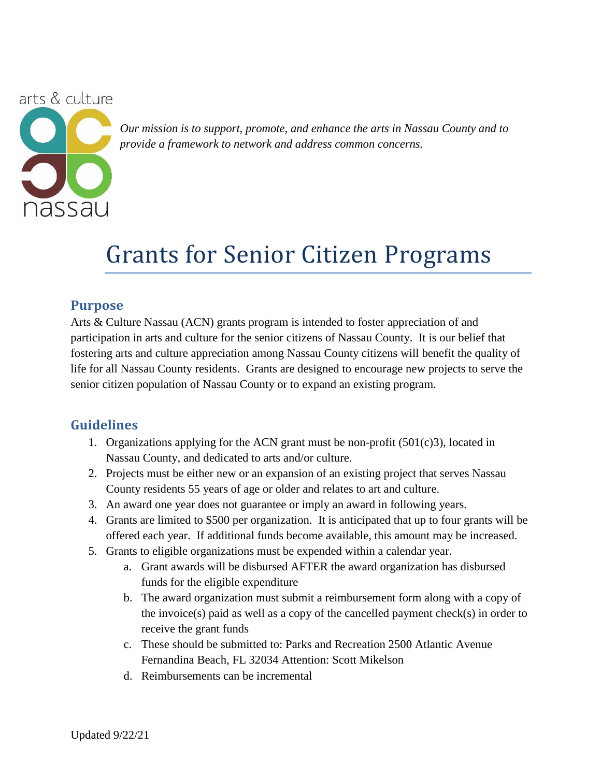arts & culture



*Our mission is to support, promote, and enhance the arts in Nassau County and to provide a framework to network and address common concerns.*

## Grants for Senior Citizen Programs

#### **Purpose**

Arts & Culture Nassau (ACN) grants program is intended to foster appreciation of and participation in arts and culture for the senior citizens of Nassau County. It is our belief that fostering arts and culture appreciation among Nassau County citizens will benefit the quality of life for all Nassau County residents. Grants are designed to encourage new projects to serve the senior citizen population of Nassau County or to expand an existing program.

### **Guidelines**

- 1. Organizations applying for the ACN grant must be non-profit (501(c)3), located in Nassau County, and dedicated to arts and/or culture.
- 2. Projects must be either new or an expansion of an existing project that serves Nassau County residents 55 years of age or older and relates to art and culture.
- 3. An award one year does not guarantee or imply an award in following years.
- 4. Grants are limited to \$500 per organization. It is anticipated that up to four grants will be offered each year. If additional funds become available, this amount may be increased.
- 5. Grants to eligible organizations must be expended within a calendar year.
	- a. Grant awards will be disbursed AFTER the award organization has disbursed funds for the eligible expenditure
	- b. The award organization must submit a reimbursement form along with a copy of the invoice(s) paid as well as a copy of the cancelled payment check(s) in order to receive the grant funds
	- c. These should be submitted to: Parks and Recreation 2500 Atlantic Avenue Fernandina Beach, FL 32034 Attention: Scott Mikelson
	- d. Reimbursements can be incremental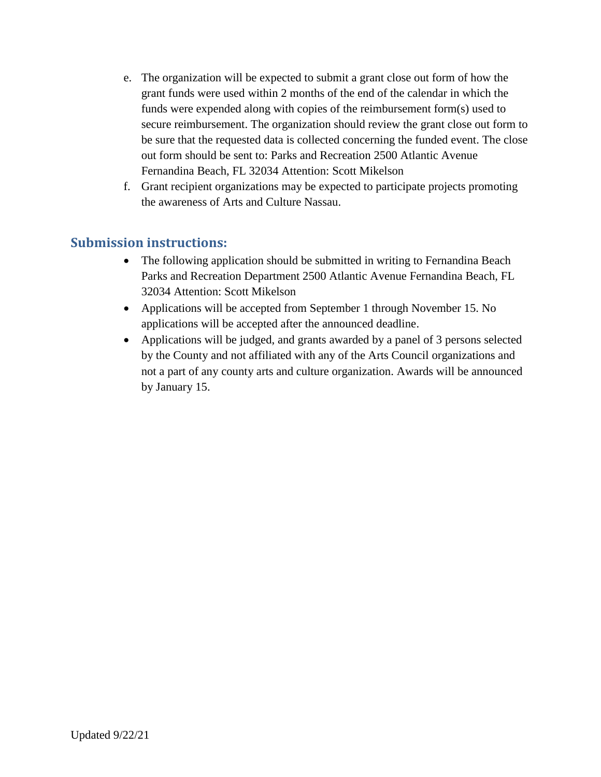- e. The organization will be expected to submit a grant close out form of how the grant funds were used within 2 months of the end of the calendar in which the funds were expended along with copies of the reimbursement form(s) used to secure reimbursement. The organization should review the grant close out form to be sure that the requested data is collected concerning the funded event. The close out form should be sent to: Parks and Recreation 2500 Atlantic Avenue Fernandina Beach, FL 32034 Attention: Scott Mikelson
- f. Grant recipient organizations may be expected to participate projects promoting the awareness of Arts and Culture Nassau.

#### **Submission instructions:**

- The following application should be submitted in writing to Fernandina Beach Parks and Recreation Department 2500 Atlantic Avenue Fernandina Beach, FL 32034 Attention: Scott Mikelson
- Applications will be accepted from September 1 through November 15. No applications will be accepted after the announced deadline.
- Applications will be judged, and grants awarded by a panel of 3 persons selected by the County and not affiliated with any of the Arts Council organizations and not a part of any county arts and culture organization. Awards will be announced by January 15.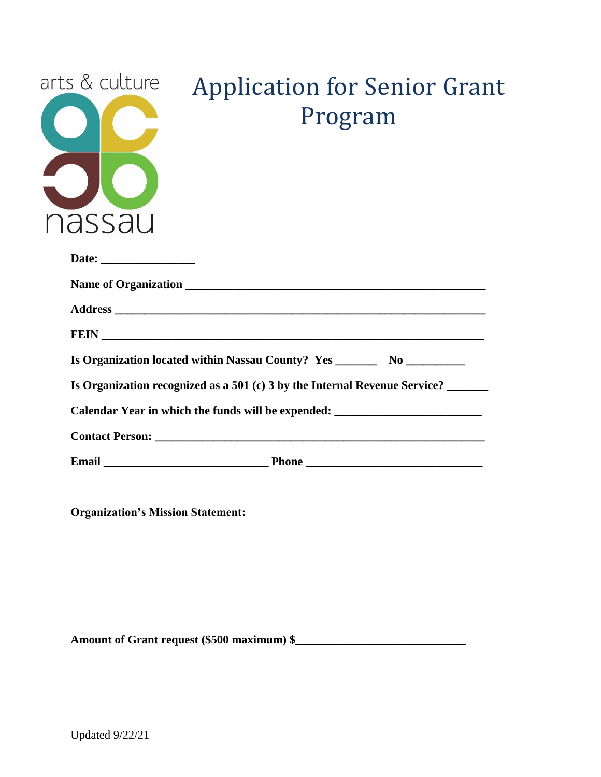

# Application for Senior Grant Program

| Is Organization located within Nassau County? Yes _______________________________ |
|-----------------------------------------------------------------------------------|
| Is Organization recognized as a $501$ (c) 3 by the Internal Revenue Service?      |
| Calendar Year in which the funds will be expended: ______________________________ |
|                                                                                   |
|                                                                                   |

**Organization's Mission Statement:**

**Amount of Grant request (\$500 maximum) \$\_\_\_\_\_\_\_\_\_\_\_\_\_\_\_\_\_\_\_\_\_\_\_\_\_\_\_\_\_**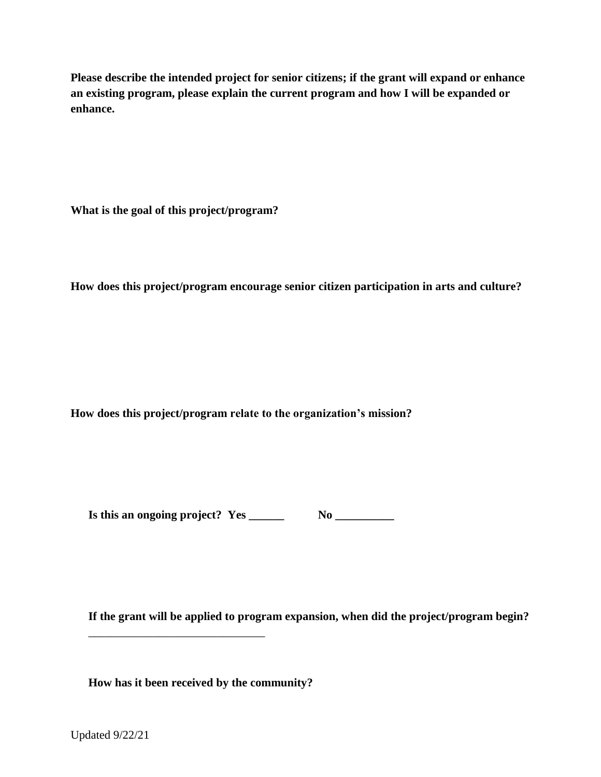**Please describe the intended project for senior citizens; if the grant will expand or enhance an existing program, please explain the current program and how I will be expanded or enhance.**

**What is the goal of this project/program?**

**How does this project/program encourage senior citizen participation in arts and culture?**

**How does this project/program relate to the organization's mission?**

**Is this an ongoing project? Yes \_\_\_\_\_\_ No \_\_\_\_\_\_\_\_\_\_**

**If the grant will be applied to program expansion, when did the project/program begin?**

**How has it been received by the community?**

\_\_\_\_\_\_\_\_\_\_\_\_\_\_\_\_\_\_\_\_\_\_\_\_\_\_\_\_\_\_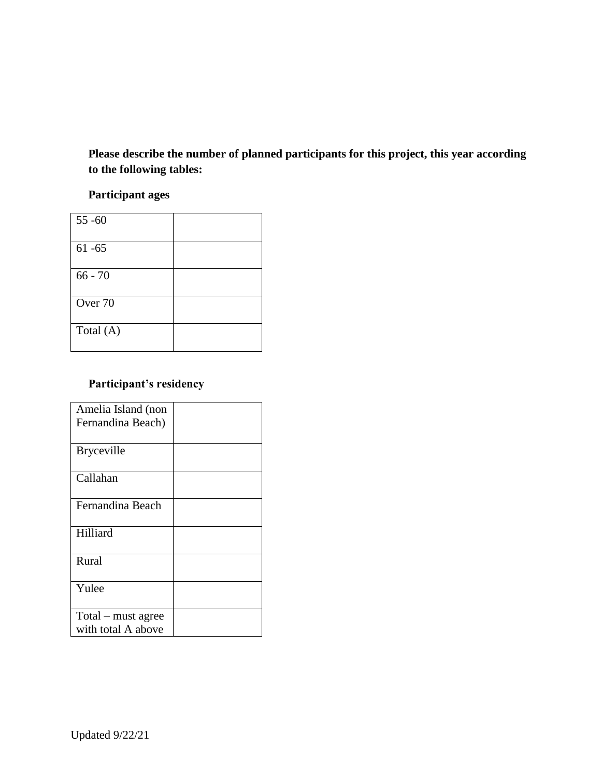**Please describe the number of planned participants for this project, this year according to the following tables:**

#### **Participant ages**

| $55 - 60$ |  |
|-----------|--|
| $61 - 65$ |  |
| $66 - 70$ |  |
| Over 70   |  |
| Total (A) |  |

#### **Participant's residency**

| Amelia Island (non |  |
|--------------------|--|
| Fernandina Beach)  |  |
|                    |  |
| <b>Bryceville</b>  |  |
|                    |  |
| Callahan           |  |
|                    |  |
| Fernandina Beach   |  |
|                    |  |
| Hilliard           |  |
|                    |  |
| Rural              |  |
|                    |  |
| Yulee              |  |
|                    |  |
| Total – must agree |  |
| with total A above |  |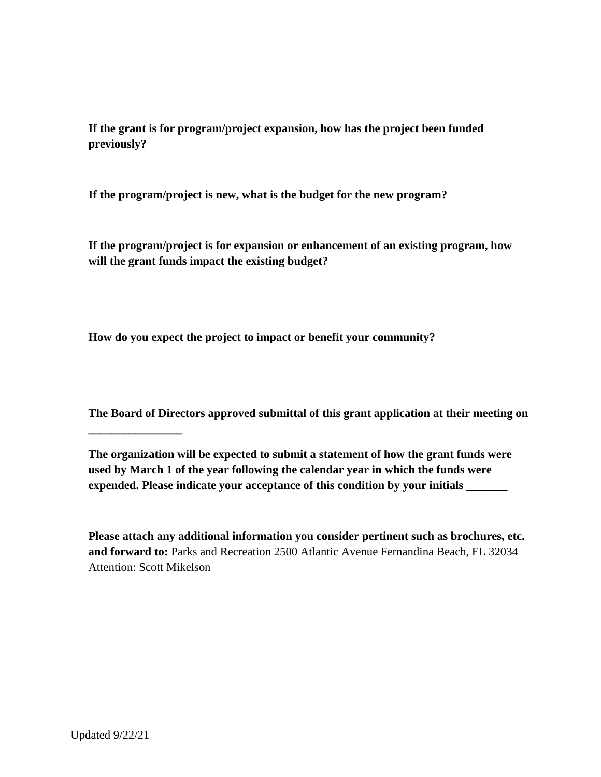**If the grant is for program/project expansion, how has the project been funded previously?**

**If the program/project is new, what is the budget for the new program?**

**If the program/project is for expansion or enhancement of an existing program, how will the grant funds impact the existing budget?**

**How do you expect the project to impact or benefit your community?**

**The Board of Directors approved submittal of this grant application at their meeting on** 

**The organization will be expected to submit a statement of how the grant funds were used by March 1 of the year following the calendar year in which the funds were expended. Please indicate your acceptance of this condition by your initials \_\_\_\_\_\_\_**

**Please attach any additional information you consider pertinent such as brochures, etc. and forward to:** Parks and Recreation 2500 Atlantic Avenue Fernandina Beach, FL 32034 Attention: Scott Mikelson

**\_\_\_\_\_\_\_\_\_\_\_\_\_\_\_\_**